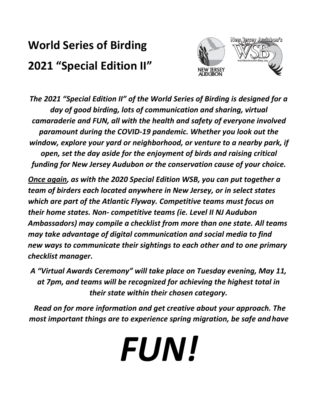# **World Series of Birding 2021 "Special Edition II"**



*The 2021 "Special Edition II" of the World Series of Birding is designed for a day of good birding, lots of communication and sharing, virtual camaraderie and FUN, all with the health and safety of everyone involved paramount during the COVID-19 pandemic. Whether you look out the window, explore your yard or neighborhood, or venture to a nearby park, if open, set the day aside for the enjoyment of birds and raising critical funding for New Jersey Audubon or the conservation cause of your choice.*

*Once again, as with the 2020 Special Edition WSB, you can put together a team of birders each located anywhere in New Jersey, or in select states which are part of the Atlantic Flyway. Competitive teams must focus on their home states. Non- competitive teams (ie. Level II NJ Audubon Ambassadors) may compile a checklist from more than one state. All teams may take advantage of digital communication and social media to find new ways to communicate their sightings to each other and to one primary checklist manager.*

*A "Virtual Awards Ceremony" will take place on Tuesday evening, May 11, at 7pm, and teams will be recognized for achieving the highest total in their state within their chosen category.*

*Read on for more information and get creative about your approach. The most important things are to experience spring migration, be safe andhave*

*FUN!*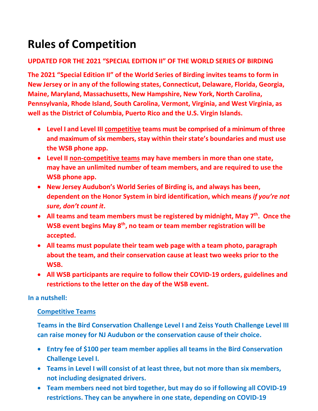## **Rules of Competition**

## **UPDATED FOR THE 2021 "SPECIAL EDITION II" OF THE WORLD SERIES OF BIRDING**

**The 2021 "Special Edition II" of the World Series of Birding invites teams to form in New Jersey or in any of the following states, Connecticut, Delaware, Florida, Georgia, Maine, Maryland, Massachusetts, New Hampshire, New York, North Carolina, Pennsylvania, Rhode Island, South Carolina, Vermont, Virginia, and West Virginia, as well as the District of Columbia, Puerto Rico and the U.S. Virgin Islands.**

- **Level I and Level III competitive teams must be comprised of a minimum of three and maximum of six members, stay within their state's boundaries and must use the WSB phone app.**
- **Level II non-competitive teams may have members in more than one state, may have an unlimited number of team members, and are required to use the WSB phone app.**
- **New Jersey Audubon's World Series of Birding is, and always has been, dependent on the Honor System in bird identification, which means** *if you're not sure, don't count it***.**
- All teams and team members must be registered by midnight, May 7<sup>th</sup>. Once the **WSB event begins May 8th, no team or team member registration will be accepted.**
- **All teams must populate their team web page with a team photo, paragraph about the team, and their conservation cause at least two weeks prior to the WSB.**
- **All WSB participants are require to follow their COVID-19 orders, guidelines and restrictions to the letter on the day of the WSB event.**

## **In a nutshell:**

## **Competitive Teams**

**Teams in the Bird Conservation Challenge Level I and Zeiss Youth Challenge Level III can raise money for NJ Audubon or the conservation cause of their choice.**

- **Entry fee of \$100 per team member applies all teams in the Bird Conservation Challenge Level I.**
- **Teams in Level I will consist of at least three, but not more than six members, not including designated drivers.**
- **Team members need not bird together, but may do so if following all COVID-19 restrictions. They can be anywhere in one state, depending on COVID-19**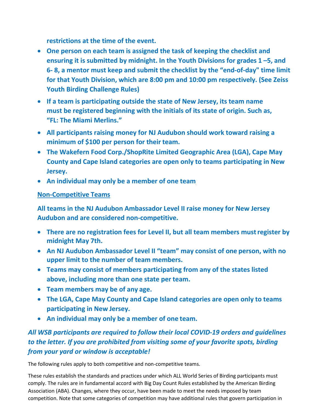**restrictions at the time of the event.**

- **One person on each team is assigned the task of keeping the checklist and ensuring it is submitted by midnight. In the Youth Divisions for grades 1 –5, and 6- 8, a mentor must keep and submit the checklist by the "end-of-day" time limit for that Youth Division, which are 8:00 pm and 10:00 pm respectively. (See Zeiss Youth Birding Challenge Rules)**
- **If a team is participating outside the state of New Jersey, its team name must be registered beginning with the initials of its state of origin. Such as, "FL: The Miami Merlins."**
- **All participants raising money for NJ Audubon should work toward raising a minimum of \$100 per person for their team.**
- **The Wakefern Food Corp./ShopRite Limited Geographic Area (LGA), Cape May County and Cape Island categories are open only to teams participating in New Jersey.**
- **An individual may only be a member of one team**

### **Non-Competitive Teams**

**All teams in the NJ Audubon Ambassador Level II raise money for New Jersey Audubon and are considered non-competitive.**

- **There are no registration fees for Level II, but all team members mustregister by midnight May 7th.**
- **An NJ Audubon Ambassador Level II "team" may consist of one person, with no upper limit to the number of team members.**
- **Teams may consist of members participating from any of the states listed above, including more than one state per team.**
- **Team members may be of any age.**
- **The LGA, Cape May County and Cape Island categories are open only to teams participating in New Jersey.**
- **An individual may only be a member of one team.**

## *All WSB participants are required to follow their local COVID-19 orders and guidelines to the letter. If you are prohibited from visiting some of your favorite spots, birding from your yard or window is acceptable!*

The following rules apply to both competitive and non-competitive teams.

These rules establish the standards and practices under which ALL World Series of Birding participants must comply. The rules are in fundamental accord with Big Day Count Rules established by the American Birding Association (ABA). Changes, where they occur, have been made to meet the needs imposed by team competition. Note that some categories of competition may have additional rules that govern participation in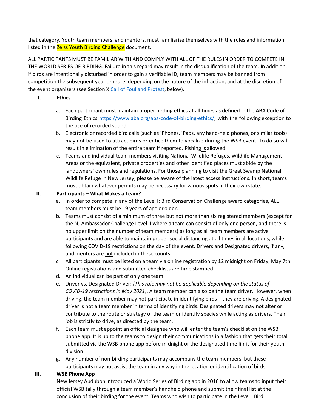that category. Youth team members, and mentors, must familiarize themselves with the rules and information listed in the **Zeiss Youth Birding Challenge** document.

ALL PARTICIPANTS MUST BE FAMILIAR WITH AND COMPLY WITH ALL OF THE RULES IN ORDER TO COMPETE IN THE WORLD SERIES OF BIRDING. Failure in this regard may result in the disqualification of the team. In addition, if birds are intentionally disturbed in order to gain a verifiable ID, team members may be banned from competition the subsequent year or more, depending on the nature of the infraction, and at the discretion of the event organizers (see Section X Call of Foul and Protest, below).

- **I. Ethics**
	- a. Each participant must maintain proper birding ethics at all times as defined in the ABA Code of Birding Ethics [https://www.aba.org/aba-code-of-birding-ethics/,](https://www.aba.org/aba-code-of-birding-ethics/) with the following exception to the use of recorded sound;
	- b. Electronic or recorded bird calls (such as iPhones, iPads, any hand-held phones, or similar tools) may not be used to attract birds or entice them to vocalize during the WSB event. To do so will result in elimination of the entire team if reported. Pishing is allowed.
	- c. Teams and individual team members visiting National Wildlife Refuges, Wildlife Management Areas or the equivalent, private properties and other identified places must abide by the landowners' own rules and regulations. For those planning to visit the Great Swamp National Wildlife Refuge in New Jersey, please be aware of the latest access instructions. In short, teams must obtain whatever permits may be necessary for various spots in their own state.

#### **II. Participants – What Makes a Team?**

- a. In order to compete in any of the Level I: Bird Conservation Challenge award categories, ALL team members must be 19 years of age or older.
- b. Teams must consist of a minimum of three but not more than six registered members (except for the NJ Ambassador Challenge Level II where a team can consist of only one person, and there is no upper limit on the number of team members) as long as all team members are active participants and are able to maintain proper social distancing at all times in all locations, while following COVID-19 restrictions on the day of the event. Drivers and Designated drivers, if any, and mentors are not included in these counts.
- c. All participants must be listed on a team via online registration by 12 midnight on Friday, May 7th. Online registrations and submitted checklists are time stamped.
- d. An individual can be part of only one team.
- e. Driver vs. Designated Driver: *(This rule may not be applicable depending on the status of COVID-19 restrictions in May 2021)*. A team member can also be the team driver. However, when driving, the team member may not participate in identifying birds – they are driving. A designated driver is not a team member in terms of identifying birds. Designated drivers may not alter or contribute to the route or strategy of the team or identify species while acting as drivers. Their job is strictly to drive, as directed by the team.
- f. Each team must appoint an official designee who will enter the team's checklist on the WSB phone app. It is up to the teams to design their communications in a fashion that gets their total submitted via the WSB phone app before midnight or the designated time limit for their youth division.
- g. Any number of non-birding participants may accompany the team members, but these participants may not assist the team in any way in the location or identification of birds.

#### **III. WSB Phone App**

New Jersey Audubon introduced a World Series of Birding app in 2016 to allow teams to input their official WSB tally through a team member's handheld phone and submit their final list at the conclusion of their birding for the event. Teams who wish to participate in the Level I Bird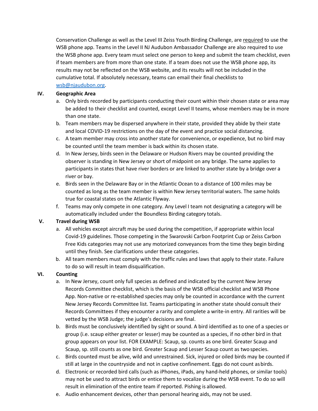Conservation Challenge as well as the Level III Zeiss Youth Birding Challenge, are required to use the WSB phone app. Teams in the Level II NJ Audubon Ambassador Challenge are also required to use the WSB phone app. Every team must select one person to keep and submit the team checklist, even if team members are from more than one state. If a team does not use the WSB phone app, its results may not be reflected on the WSB website, and its results will not be included in the cumulative total. If absolutely necessary, teams can email their final checklists to [wsb@njaudubon.org.](mailto:wsb@njaudubon.org)

#### **IV. Geographic Area**

- a. Only birds recorded by participants conducting their count within their chosen state or area may be added to their checklist and counted, except Level II teams, whose members may be in more than one state.
- b. Team members may be dispersed anywhere in their state, provided they abide by their state and local COVID-19 restrictions on the day of the event and practice social distancing.
- c. A team member may cross into another state for convenience, or expedience, but no bird may be counted until the team member is back within its chosen state.
- d. In New Jersey, birds seen in the Delaware or Hudson Rivers may be counted providing the observer is standing in New Jersey or short of midpoint on any bridge. The same applies to participants in states that have river borders or are linked to another state by a bridge over a river or bay.
- e. Birds seen in the Delaware Bay or in the Atlantic Ocean to a distance of 100 miles may be counted as long as the team member is within New Jersey territorial waters. The same holds true for coastal states on the Atlantic Flyway.
- f. Teams may only compete in one category. Any Level I team not designating a category will be automatically included under the Boundless Birding category totals.

#### **V. Travel during WSB**

- a. All vehicles except aircraft may be used during the competition, if appropriate within local Covid-19 guidelines. Those competing in the Swarovski Carbon Footprint Cup or Zeiss Carbon Free Kids categories may not use any motorized conveyances from the time they begin birding until they finish. See clarifications under these categories.
- b. All team members must comply with the traffic rules and laws that apply to their state. Failure to do so will result in team disqualification.

#### **VI. Counting**

- a. In New Jersey, count only full species as defined and indicated by the current New Jersey Records Committee checklist, which is the basis of the WSB official checklist and WSB Phone App. Non-native or re-established species may only be counted in accordance with the current New Jersey Records Committee list. Teams participating in another state should consult their Records Committees if they encounter a rarity and complete a write-in entry. All rarities will be vetted by the WSB Judge; the judge's decisions are final.
- b. Birds must be conclusively identified by sight or sound. A bird identified as to one of a species or group (i.e. scaup either greater or lesser) may be counted as a species, if no other bird in that group appears on your list. FOR EXAMPLE: Scaup, sp. counts as one bird. Greater Scaup and Scaup, sp. still counts as one bird. Greater Scaup and Lesser Scaup count as twospecies.
- c. Birds counted must be alive, wild and unrestrained. Sick, injured or oiled birds may be counted if still at large in the countryside and not in captive confinement. Eggs do not count asbirds.
- d. Electronic or recorded bird calls (such as iPhones, iPads, any hand-held phones, or similar tools) may not be used to attract birds or entice them to vocalize during the WSB event. To do so will result in elimination of the entire team if reported. Pishing is allowed.
- e. Audio enhancement devices, other than personal hearing aids, may not be used.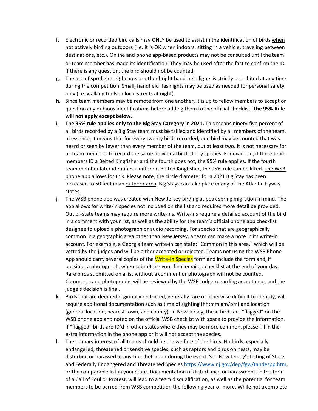- f. Electronic or recorded bird calls may ONLY be used to assist in the identification of birds when not actively birding outdoors (i.e. it is OK when indoors, sitting in a vehicle, traveling between destinations, etc.). Online and phone app-based products may not be consulted until the team or team member has made its identification. They may be used after the fact to confirm the ID. If there is any question, the bird should not be counted.
- g. The use of spotlights, Q-beams or other bright hand-held lights is strictly prohibited at any time during the competition. Small, handheld flashlights may be used as needed for personal safety only (i.e. walking trails or local streets at night).
- **h.** Since team members may be remote from one another, it is up to fellow members to accept or question any dubious identifications before adding them to the official checklist. **The 95% Rule will not apply except below.**
- i. **The 95% rule applies only to the Big Stay Category in 2021.** This means ninety-five percent of all birds recorded by a Big Stay team must be tallied and identified by all members of the team. In essence, it means that for every twenty birds recorded, one bird may be counted that was heard or seen by fewer than every member of the team, but at least two. It is not necessary for all team members to record the same individual bird of any species. For example, if three team members ID a Belted Kingfisher and the fourth does not, the 95% rule applies. If the fourth team member later identifies a different Belted Kingfisher, the 95% rule can be lifted. The WSB phone app allows for this. Please note, the circle diameter for a 2021 Big Stay has been increased to 50 feet in an outdoor area. Big Stays can take place in any of the Atlantic Flyway states.
- j. The WSB phone app was created with New Jersey birding at peak spring migration in mind. The app allows for write-in species not included on the list and requires more detail be provided. Out of-state teams may require more write-ins. Write-ins require a detailed account of the bird in a comment with your list, as well as the ability for the team's official phone app checklist designee to upload a photograph or audio recording. For species that are geographically common in a geographic area other than New Jersey, a team can make a note in its write-in account. For example, a Georgia team write-in can state: "Common in this area," which will be vetted by the judges and will be either accepted or rejected. Teams not using the WSB Phone App should carry several copies of the Write-In Species form and include the form and, if possible, a photograph, when submitting your final emailed checklist at the end of your day. Rare birds submitted on a list without a comment or photograph will not be counted. Comments and photographs will be reviewed by the WSB Judge regarding acceptance, and the judge's decision is final.
- k. Birds that are deemed regionally restricted, generally rare or otherwise difficult to identify, will require additional documentation such as time of sighting (hh:mm am/pm) and location (general location, nearest town, and county). In New Jersey, these birds are "flagged" on the WSB phone app and noted on the official WSB checklist with space to provide the information. If "flagged" birds are ID'd in other states where they may be more common, please fill in the extra information in the phone app or it will not accept the species.
- l. The primary interest of all teams should be the welfare of the birds. No birds, especially endangered, threatened or sensitive species, such as raptors and birds on nests, may be disturbed or harassed at any time before or during the event. See New Jersey's Listing of State and Federally Endangered and Threatened Species [https://www.nj.gov/dep/fgw/tandespp.htm,](https://www.nj.gov/dep/fgw/tandespp.htm) or the comparable list in your state. Documentation of disturbance or harassment, in the form of a Call of Foul or Protest, will lead to a team disqualification, as well as the potential for team members to be barred from WSB competition the following year or more. While not a complete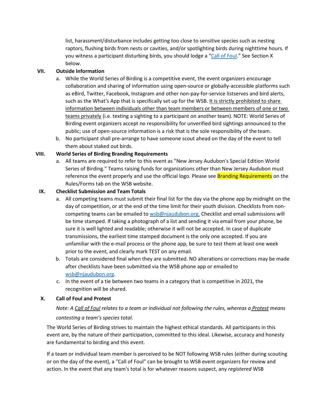list, harassment/disturbance includes getting too close to sensitive species such as nesting raptors, flushing birds from nests or cavities, and/or spotlighting birds during nighttime hours. If you witness a participant disturbing birds, you should lodge a ["Call of Foul.](#page-6-0)" See Section X below.

#### **VII. Outside Information**

- a. While the World Series of Birding is a competitive event, the event organizers encourage collaboration and sharing of information using open-source or globally-accessible platforms such as eBird, Twitter, Facebook, Instagram and other non-pay-for-service listserves and bird alerts, such as the What's App that is specifically set up for the WSB. It is strictly prohibited to share information between individuals other than team members or between members of one or two teams privately (i.e. texting a sighting to a participant on another team). NOTE: World Series of Birding event organizers accept no responsibility for unverified bird sightings announced to the public; use of open-source information is a risk that is the sole responsibility of the team.
- b. No participant shall pre-arrange to have someone scout ahead on the day of the event to tell them about staked out birds.

#### **VIII. World Series of Birding Branding Requirements**

a. All teams are required to refer to this event as "New Jersey Audubon's Special Edition World Series of Birding." Teams raising funds for organizations other than New Jersey Audubon must reference the event properly and use the official logo. Please see **Branding Requirements** on the Rules/Forms tab on the WSB website.

#### **IX. Checklist Submission and Team Totals**

- a. All competing teams must submit their final list for the day via the phone app by midnight on the day of competition, or at the end of the time limit for their youth division. Checklists from noncompeting teams can be emailed to [wsb@njaudubon.org.](mailto:wsb@njaudubon.org) Checklist and email submissions will be time stamped. If taking a photograph of a list and sending it via email from your phone, be sure it is well lighted and readable; otherwise it will not be accepted. In case of duplicate transmissions, the earliest time stamped document is the only one accepted. If you are unfamiliar with the e-mail process or the phone app, be sure to test them at least one week prior to the event, and clearly mark TEST on any email.
- b. Totals are considered final when they are submitted. NO alterations or corrections may be made after checklists have been submitted via the WSB phone app or emailed to [wsb@njaudubon.org.](mailto:wsb@njaudubon.org)
- c. In the event of a tie between two teams in a category that is competitive in 2021, the recognition will be shared.

#### <span id="page-6-0"></span>**X. Call of Foul and Protest**

#### *Note: A Call of Foul relates to a team or individual not following the rules, whereas a Protest means*

#### *contesting a team's species total.*

The World Series of Birding strives to maintain the highest ethical standards. All participants in this event are, by the nature of their participation, committed to this ideal. Likewise, accuracy and honesty are fundamental to birding and this event.

If a team or individual team member is perceived to be NOT following WSB rules (either during scouting or on the day of the event), a "Call of Foul" can be brought to WSB event organizers for review and action. In the event that any team's total is for whatever reasons suspect, any *registered* WSB